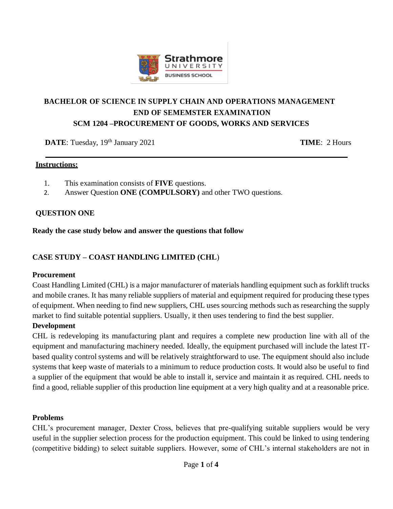

# **BACHELOR OF SCIENCE IN SUPPLY CHAIN AND OPERATIONS MANAGEMENT END OF SEMEMSTER EXAMINATION SCM 1204 –PROCUREMENT OF GOODS, WORKS AND SERVICES**

**DATE**: Tuesday, 19<sup>th</sup> January 2021 **TIME**: 2 Hours

#### **Instructions:**

- 1. This examination consists of **FIVE** questions.
- 2. Answer Question **ONE (COMPULSORY)** and other TWO questions.

### **QUESTION ONE**

#### **Ready the case study below and answer the questions that follow**

### **CASE STUDY – COAST HANDLING LIMITED (CHL**)

#### **Procurement**

Coast Handling Limited (CHL) is a major manufacturer of materials handling equipment such as forklift trucks and mobile cranes. It has many reliable suppliers of material and equipment required for producing these types of equipment. When needing to find new suppliers, CHL uses sourcing methods such as researching the supply market to find suitable potential suppliers. Usually, it then uses tendering to find the best supplier.

#### **Development**

CHL is redeveloping its manufacturing plant and requires a complete new production line with all of the equipment and manufacturing machinery needed. Ideally, the equipment purchased will include the latest ITbased quality control systems and will be relatively straightforward to use. The equipment should also include systems that keep waste of materials to a minimum to reduce production costs. It would also be useful to find a supplier of the equipment that would be able to install it, service and maintain it as required. CHL needs to find a good, reliable supplier of this production line equipment at a very high quality and at a reasonable price.

#### **Problems**

CHL's procurement manager, Dexter Cross, believes that pre-qualifying suitable suppliers would be very useful in the supplier selection process for the production equipment. This could be linked to using tendering (competitive bidding) to select suitable suppliers. However, some of CHL's internal stakeholders are not in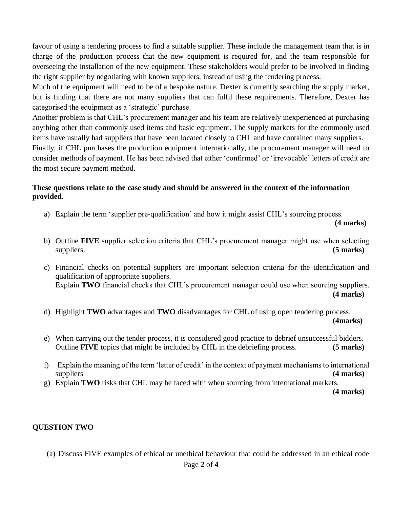favour of using a tendering process to find a suitable supplier. These include the management team that is in charge of the production process that the new equipment is required for, and the team responsible for overseeing the installation of the new equipment. These stakeholders would prefer to be involved in finding the right supplier by negotiating with known suppliers, instead of using the tendering process.

Much of the equipment will need to be of a bespoke nature. Dexter is currently searching the supply market, but is finding that there are not many suppliers that can fulfil these requirements. Therefore, Dexter has categorised the equipment as a 'strategic' purchase.

Another problem is that CHL's procurement manager and his team are relatively inexperienced at purchasing anything other than commonly used items and basic equipment. The supply markets for the commonly used items have usually had suppliers that have been located closely to CHL and have contained many suppliers.

Finally, if CHL purchases the production equipment internationally, the procurement manager will need to consider methods of payment. He has been advised that either 'confirmed' or 'irrevocable' letters of credit are the most secure payment method.

#### **These questions relate to the case study and should be answered in the context of the information provided**.

a) Explain the term 'supplier pre-qualification' and how it might assist CHL's sourcing process.

**(4 marks**)

- b) Outline **FIVE** supplier selection criteria that CHL's procurement manager might use when selecting suppliers. **(5 marks)**
- c) Financial checks on potential suppliers are important selection criteria for the identification and qualification of appropriate suppliers. Explain **TWO** financial checks that CHL's procurement manager could use when sourcing suppliers.

**(4 marks)**

- d) Highlight **TWO** advantages and **TWO** disadvantages for CHL of using open tendering process. **(4marks)**
- e) When carrying out the tender process, it is considered good practice to debrief unsuccessful bidders. Outline **FIVE** topics that might be included by CHL in the debriefing process. **(5 marks)**
- f) Explain the meaning of the term 'letter of credit' in the context of payment mechanisms to international suppliers **(4 marks)**
- g) Explain **TWO** risks that CHL may be faced with when sourcing from international markets.

**(4 marks)**

### **QUESTION TWO**

(a) Discuss FIVE examples of ethical or unethical behaviour that could be addressed in an ethical code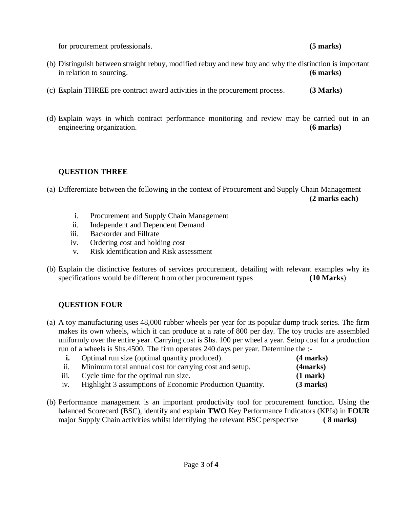for procurement professionals. **(5 marks)**

- (b) Distinguish between straight rebuy, modified rebuy and new buy and why the distinction is important in relation to sourcing. **(6 marks)**
- (c) Explain THREE pre contract award activities in the procurement process. **(3 Marks)**
- (d) Explain ways in which contract performance monitoring and review may be carried out in an engineering organization. **(6 marks)**

### **QUESTION THREE**

(a) Differentiate between the following in the context of Procurement and Supply Chain Management  **(2 marks each)**

- i. Procurement and Supply Chain Management
- ii. Independent and Dependent Demand
- iii. Backorder and Fillrate
- iv. Ordering cost and holding cost
- v. Risk identification and Risk assessment
- (b) Explain the distinctive features of services procurement, detailing with relevant examples why its specifications would be different from other procurement types **(10 Marks)**

# **QUESTION FOUR**

(a) A toy manufacturing uses 48,000 rubber wheels per year for its popular dump truck series. The firm makes its own wheels, which it can produce at a rate of 800 per day. The toy trucks are assembled uniformly over the entire year. Carrying cost is Shs. 100 per wheel a year. Setup cost for a production run of a wheels is Shs.4500. The firm operates 240 days per year. Determine the :-

|                   | Optimal run size (optimal quantity produced).            | $(4$ marks)   |
|-------------------|----------------------------------------------------------|---------------|
| $\overline{11}$ . | Minimum total annual cost for carrying cost and setup.   | (4 marks)     |
| iii.              | Cycle time for the optimal run size.                     | $(1$ mark $)$ |
| iv.               | Highlight 3 assumptions of Economic Production Quantity. | $(3$ marks)   |

(b) Performance management is an important productivity tool for procurement function. Using the balanced Scorecard (BSC), identify and explain **TWO** Key Performance Indicators (KPIs) in **FOUR** major Supply Chain activities whilst identifying the relevant BSC perspective **( 8 marks)**